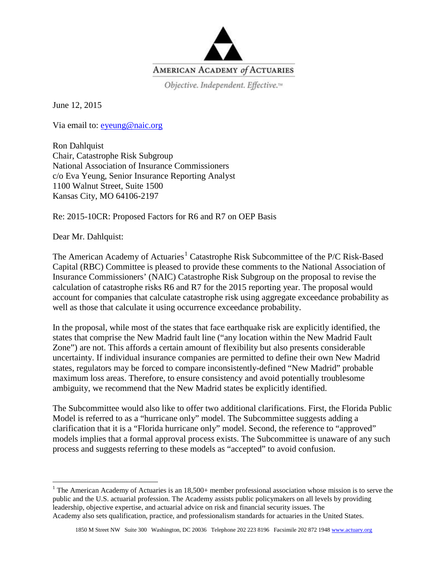

Objective. Independent. Effective.<sup>14</sup>

June 12, 2015

Via email to: [eyeung@naic.org](mailto:eyeung@naic.org) 

Ron Dahlquist Chair, Catastrophe Risk Subgroup National Association of Insurance Commissioners c/o Eva Yeung, Senior Insurance Reporting Analyst 1100 Walnut Street, Suite 1500 Kansas City, MO 64106-2197

Re: 2015-10CR: Proposed Factors for R6 and R7 on OEP Basis

Dear Mr. Dahlquist:

The American Academy of Actuaries<sup>[1](#page-0-0)</sup> Catastrophe Risk Subcommittee of the P/C Risk-Based Capital (RBC) Committee is pleased to provide these comments to the National Association of Insurance Commissioners' (NAIC) Catastrophe Risk Subgroup on the proposal to revise the calculation of catastrophe risks R6 and R7 for the 2015 reporting year. The proposal would account for companies that calculate catastrophe risk using aggregate exceedance probability as well as those that calculate it using occurrence exceedance probability.

In the proposal, while most of the states that face earthquake risk are explicitly identified, the states that comprise the New Madrid fault line ("any location within the New Madrid Fault Zone") are not. This affords a certain amount of flexibility but also presents considerable uncertainty. If individual insurance companies are permitted to define their own New Madrid states, regulators may be forced to compare inconsistently-defined "New Madrid" probable maximum loss areas. Therefore, to ensure consistency and avoid potentially troublesome ambiguity, we recommend that the New Madrid states be explicitly identified.

The Subcommittee would also like to offer two additional clarifications. First, the Florida Public Model is referred to as a "hurricane only" model. The Subcommittee suggests adding a clarification that it is a "Florida hurricane only" model. Second, the reference to "approved" models implies that a formal approval process exists. The Subcommittee is unaware of any such process and suggests referring to these models as "accepted" to avoid confusion.

<span id="page-0-0"></span><sup>&</sup>lt;sup>1</sup> The American Academy of Actuaries is an  $18,500+$  member professional association whose mission is to serve the public and the U.S. actuarial profession. The Academy assists public policymakers on all levels by providing leadership, objective expertise, and actuarial advice on risk and financial security issues. The Academy also sets qualification, practice, and professionalism standards for actuaries in the United States.